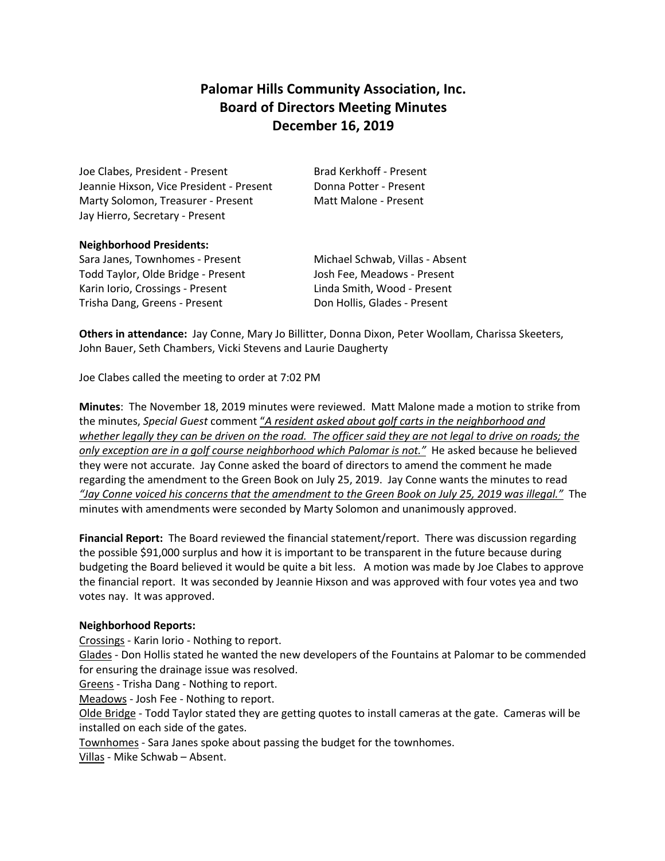# **Palomar Hills Community Association, Inc. Board of Directors Meeting Minutes December 16, 2019**

Joe Clabes, President - Present Brad Kerkhoff - Present Jeannie Hixson, Vice President - Present Donna Potter - Present Marty Solomon, Treasurer - Present Matt Malone - Present Jay Hierro, Secretary - Present

### **Neighborhood Presidents:**

Sara Janes, Townhomes - Present Michael Schwab, Villas - Absent Todd Taylor, Olde Bridge - Present Josh Fee, Meadows - Present Karin Iorio, Crossings - Present Linda Smith, Wood - Present Trisha Dang, Greens - Present Don Hollis, Glades - Present

**Others in attendance:** Jay Conne, Mary Jo Billitter, Donna Dixon, Peter Woollam, Charissa Skeeters, John Bauer, Seth Chambers, Vicki Stevens and Laurie Daugherty

Joe Clabes called the meeting to order at 7:02 PM

**Minutes**: The November 18, 2019 minutes were reviewed. Matt Malone made a motion to strike from the minutes, *Special Guest* comment "*A resident asked about golf carts in the neighborhood and whether legally they can be driven on the road. The officer said they are not legal to drive on roads; the only exception are in a golf course neighborhood which Palomar is not."* He asked because he believed they were not accurate. Jay Conne asked the board of directors to amend the comment he made regarding the amendment to the Green Book on July 25, 2019. Jay Conne wants the minutes to read *"Jay Conne voiced his concerns that the amendment to the Green Book on July 25, 2019 was illegal."* The minutes with amendments were seconded by Marty Solomon and unanimously approved.

**Financial Report:** The Board reviewed the financial statement/report. There was discussion regarding the possible \$91,000 surplus and how it is important to be transparent in the future because during budgeting the Board believed it would be quite a bit less. A motion was made by Joe Clabes to approve the financial report. It was seconded by Jeannie Hixson and was approved with four votes yea and two votes nay. It was approved.

## **Neighborhood Reports:**

Crossings - Karin Iorio - Nothing to report.

Glades - Don Hollis stated he wanted the new developers of the Fountains at Palomar to be commended for ensuring the drainage issue was resolved.

Greens - Trisha Dang - Nothing to report.

Meadows - Josh Fee - Nothing to report.

Olde Bridge - Todd Taylor stated they are getting quotes to install cameras at the gate. Cameras will be installed on each side of the gates.

Townhomes - Sara Janes spoke about passing the budget for the townhomes.

Villas - Mike Schwab – Absent.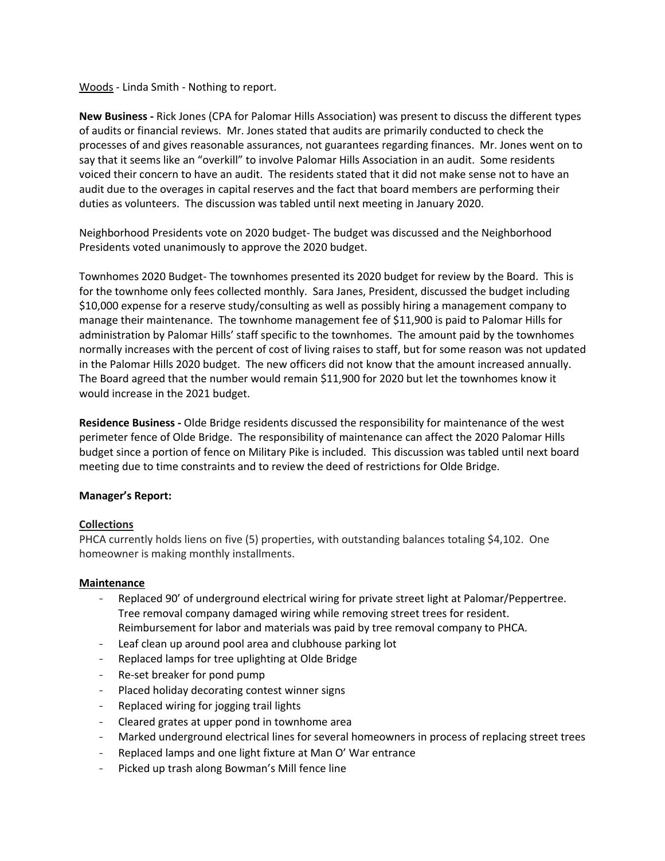Woods - Linda Smith - Nothing to report.

**New Business -** Rick Jones (CPA for Palomar Hills Association) was present to discuss the different types of audits or financial reviews. Mr. Jones stated that audits are primarily conducted to check the processes of and gives reasonable assurances, not guarantees regarding finances. Mr. Jones went on to say that it seems like an "overkill" to involve Palomar Hills Association in an audit. Some residents voiced their concern to have an audit. The residents stated that it did not make sense not to have an audit due to the overages in capital reserves and the fact that board members are performing their duties as volunteers. The discussion was tabled until next meeting in January 2020.

Neighborhood Presidents vote on 2020 budget- The budget was discussed and the Neighborhood Presidents voted unanimously to approve the 2020 budget.

Townhomes 2020 Budget- The townhomes presented its 2020 budget for review by the Board. This is for the townhome only fees collected monthly. Sara Janes, President, discussed the budget including \$10,000 expense for a reserve study/consulting as well as possibly hiring a management company to manage their maintenance. The townhome management fee of \$11,900 is paid to Palomar Hills for administration by Palomar Hills' staff specific to the townhomes. The amount paid by the townhomes normally increases with the percent of cost of living raises to staff, but for some reason was not updated in the Palomar Hills 2020 budget. The new officers did not know that the amount increased annually. The Board agreed that the number would remain \$11,900 for 2020 but let the townhomes know it would increase in the 2021 budget.

**Residence Business -** Olde Bridge residents discussed the responsibility for maintenance of the west perimeter fence of Olde Bridge. The responsibility of maintenance can affect the 2020 Palomar Hills budget since a portion of fence on Military Pike is included. This discussion was tabled until next board meeting due to time constraints and to review the deed of restrictions for Olde Bridge.

## **Manager's Report:**

### **Collections**

PHCA currently holds liens on five (5) properties, with outstanding balances totaling \$4,102. One homeowner is making monthly installments.

### **Maintenance**

- Replaced 90' of underground electrical wiring for private street light at Palomar/Peppertree. Tree removal company damaged wiring while removing street trees for resident. Reimbursement for labor and materials was paid by tree removal company to PHCA.
- Leaf clean up around pool area and clubhouse parking lot
- Replaced lamps for tree uplighting at Olde Bridge
- Re-set breaker for pond pump
- Placed holiday decorating contest winner signs
- Replaced wiring for jogging trail lights
- Cleared grates at upper pond in townhome area
- Marked underground electrical lines for several homeowners in process of replacing street trees
- Replaced lamps and one light fixture at Man O' War entrance
- Picked up trash along Bowman's Mill fence line